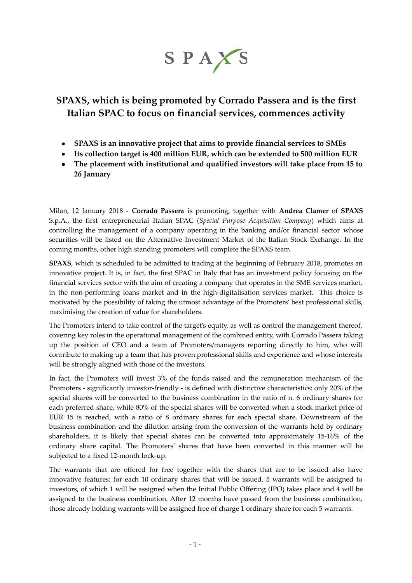SPAXS

## **SPAXS, which is being promoted by Corrado Passera and is the first Italian SPAC to focus on financial services, commences activity**

- **SPAXS is an innovative project that aims to provide financial services to SMEs**
- **Its collection target is 400 million EUR, which can be extended to 500 million EUR**
- **The placement with institutional and qualified investors will take place from 15 to 26 January**

Milan, 12 January 2018 - **Corrado Passera** is promoting, together with **Andrea Clamer** of **SPAXS** S.p.A., the first entrepreneurial Italian SPAC (*Special Purpose Acquisition Company*) which aims at controlling the management of a company operating in the banking and/or financial sector whose securities will be listed on the Alternative Investment Market of the Italian Stock Exchange. In the coming months, other high standing promoters will complete the SPAXS team.

**SPAXS**, which is scheduled to be admitted to trading at the beginning of February 2018, promotes an innovative project. It is, in fact, the first SPAC in Italy that has an investment policy focusing on the financial services sector with the aim of creating a company that operates in the SME services market, in the non-performing loans market and in the high-digitalisation services market. This choice is motivated by the possibility of taking the utmost advantage of the Promoters' best professional skills, maximising the creation of value for shareholders.

The Promoters intend to take control of the target's equity, as well as control the management thereof, covering key roles in the operational management of the combined entity, with Corrado Passera taking up the position of CEO and a team of Promoters/managers reporting directly to him, who will contribute to making up a team that has proven professional skills and experience and whose interests will be strongly aligned with those of the investors.

In fact, the Promoters will invest 3% of the funds raised and the remuneration mechanism of the Promoters - significantly investor-friendly - is defined with distinctive characteristics: only 20% of the special shares will be converted to the business combination in the ratio of n. 6 ordinary shares for each preferred share, while 80% of the special shares will be converted when a stock market price of EUR 15 is reached, with a ratio of 8 ordinary shares for each special share. Downstream of the business combination and the dilution arising from the conversion of the warrants held by ordinary shareholders, it is likely that special shares can be converted into approximately 15-16% of the ordinary share capital. The Promoters' shares that have been converted in this manner will be subjected to a fixed 12-month lock-up.

The warrants that are offered for free together with the shares that are to be issued also have innovative features: for each 10 ordinary shares that will be issued, 5 warrants will be assigned to investors, of which 1 will be assigned when the Initial Public Offering (IPO) takes place and 4 will be assigned to the business combination. After 12 months have passed from the business combination, those already holding warrants will be assigned free of charge 1 ordinary share for each 5 warrants.